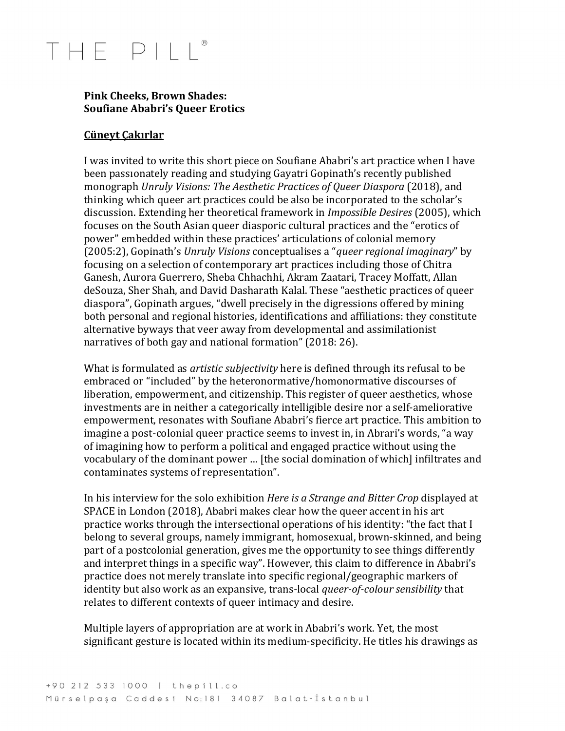### THE PIII

#### **Pink Cheeks, Brown Shades: Soufiane Ababri's Queer Erotics**

#### **Cüneyt Çakırlar**

I was invited to write this short piece on Soufiane Ababri's art practice when I have been passionately reading and studying Gayatri Gopinath's recently published monograph *Unruly Visions: The Aesthetic Practices of Queer Diaspora* (2018), and thinking which queer art practices could be also be incorporated to the scholar's discussion. Extending her theoretical framework in *Impossible Desires* (2005), which focuses on the South Asian queer diasporic cultural practices and the "erotics of power" embedded within these practices' articulations of colonial memory (2005:2), Gopinath's *Unruly Visions* conceptualises a "*queer regional imaginary*" by focusing on a selection of contemporary art practices including those of Chitra Ganesh, Aurora Guerrero, Sheba Chhachhi, Akram Zaatari, Tracey Moffatt, Allan deSouza, Sher Shah, and David Dasharath Kalal. These "aesthetic practices of queer diaspora", Gopinath argues, "dwell precisely in the digressions offered by mining both personal and regional histories, identifications and affiliations: they constitute alternative byways that veer away from developmental and assimilationist narratives of both gay and national formation" (2018: 26).

What is formulated as *artistic subjectivity* here is defined through its refusal to be embraced or "included" by the heteronormative/homonormative discourses of liberation, empowerment, and citizenship. This register of queer aesthetics, whose investments are in neither a categorically intelligible desire nor a self-ameliorative empowerment, resonates with Soufiane Ababri's fierce art practice. This ambition to imagine a post-colonial queer practice seems to invest in, in Abrari's words, "a way of imagining how to perform a political and engaged practice without using the vocabulary of the dominant power ... [the social domination of which] infiltrates and contaminates systems of representation".

In his interview for the solo exhibition *Here* is a *Strange and Bitter Crop* displayed at SPACE in London (2018), Ababri makes clear how the queer accent in his art practice works through the intersectional operations of his identity: "the fact that I belong to several groups, namely immigrant, homosexual, brown-skinned, and being part of a postcolonial generation, gives me the opportunity to see things differently and interpret things in a specific way". However, this claim to difference in Ababri's practice does not merely translate into specific regional/geographic markers of identity but also work as an expansive, trans-local *queer-of-colour sensibility* that relates to different contexts of queer intimacy and desire.

Multiple layers of appropriation are at work in Ababri's work. Yet, the most significant gesture is located within its medium-specificity. He titles his drawings as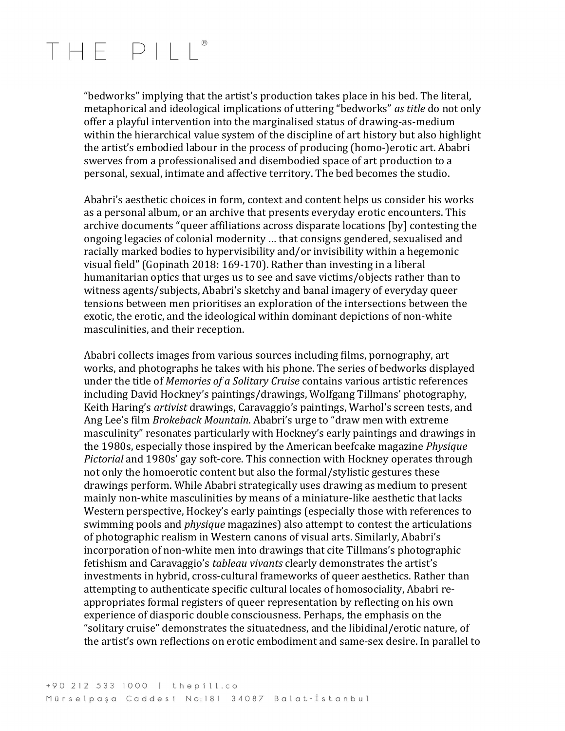### THE PIII

"bedworks" implying that the artist's production takes place in his bed. The literal, metaphorical and ideological implications of uttering "bedworks" *as title* do not only offer a playful intervention into the marginalised status of drawing-as-medium within the hierarchical value system of the discipline of art history but also highlight the artist's embodied labour in the process of producing (homo-)erotic art. Ababri swerves from a professionalised and disembodied space of art production to a personal, sexual, intimate and affective territory. The bed becomes the studio.

Ababri's aesthetic choices in form, context and content helps us consider his works as a personal album, or an archive that presents everyday erotic encounters. This archive documents "queer affiliations across disparate locations [by] contesting the ongoing legacies of colonial modernity ... that consigns gendered, sexualised and racially marked bodies to hypervisibility and/or invisibility within a hegemonic visual field" (Gopinath 2018: 169-170). Rather than investing in a liberal humanitarian optics that urges us to see and save victims/objects rather than to witness agents/subjects, Ababri's sketchy and banal imagery of everyday queer tensions between men prioritises an exploration of the intersections between the exotic, the erotic, and the ideological within dominant depictions of non-white masculinities, and their reception.

Ababri collects images from various sources including films, pornography, art works, and photographs he takes with his phone. The series of bedworks displayed under the title of *Memories of a Solitary Cruise* contains various artistic references including David Hockney's paintings/drawings, Wolfgang Tillmans' photography, Keith Haring's *artivist* drawings, Caravaggio's paintings, Warhol's screen tests, and Ang Lee's film *Brokeback Mountain*. Ababri's urge to "draw men with extreme masculinity" resonates particularly with Hockney's early paintings and drawings in the 1980s, especially those inspired by the American beefcake magazine *Physique Pictorial* and 1980s' gay soft-core. This connection with Hockney operates through not only the homoerotic content but also the formal/stylistic gestures these drawings perform. While Ababri strategically uses drawing as medium to present mainly non-white masculinities by means of a miniature-like aesthetic that lacks Western perspective, Hockey's early paintings (especially those with references to swimming pools and *physique* magazines) also attempt to contest the articulations of photographic realism in Western canons of visual arts. Similarly, Ababri's incorporation of non-white men into drawings that cite Tillmans's photographic fetishism and Caravaggio's *tableau vivants* clearly demonstrates the artist's investments in hybrid, cross-cultural frameworks of queer aesthetics. Rather than attempting to authenticate specific cultural locales of homosociality, Ababri reappropriates formal registers of queer representation by reflecting on his own experience of diasporic double consciousness. Perhaps, the emphasis on the "solitary cruise" demonstrates the situatedness, and the libidinal/erotic nature, of the artist's own reflections on erotic embodiment and same-sex desire. In parallel to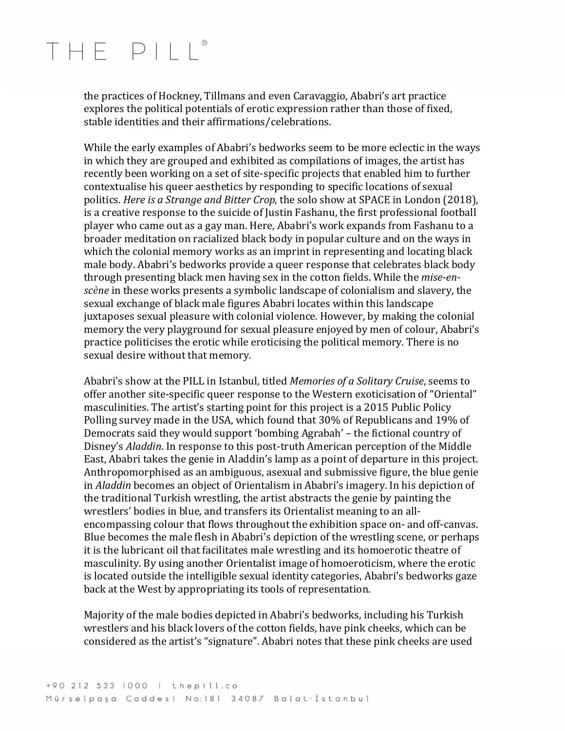### THE PIII

the practices of Hockney, Tillmans and even Caravaggio, Ababri's art practice explores the political potentials of erotic expression rather than those of fixed, stable identities and their affirmations/celebrations.

While the early examples of Ababri's bedworks seem to be more eclectic in the ways in which they are grouped and exhibited as compilations of images, the artist has recently been working on a set of site-specific projects that enabled him to further contextualise his queer aesthetics by responding to specific locations of sexual politics. *Here is a Strange and Bitter Crop*, the solo show at SPACE in London (2018), is a creative response to the suicide of Justin Fashanu, the first professional football player who came out as a gay man. Here, Ababri's work expands from Fashanu to a broader meditation on racialized black body in popular culture and on the ways in which the colonial memory works as an imprint in representing and locating black male body. Ababri's bedworks provide a queer response that celebrates black body through presenting black men having sex in the cotton fields. While the *mise-enscène* in these works presents a symbolic landscape of colonialism and slavery, the sexual exchange of black male figures Ababri locates within this landscape juxtaposes sexual pleasure with colonial violence. However, by making the colonial memory the very playground for sexual pleasure enjoyed by men of colour, Ababri's practice politicises the erotic while eroticising the political memory. There is no sexual desire without that memory.

Ababri's show at the PILL in Istanbul, titled *Memories of a Solitary Cruise*, seems to offer another site-specific queer response to the Western exoticisation of "Oriental" masculinities. The artist's starting point for this project is a 2015 Public Policy Polling survey made in the USA, which found that 30% of Republicans and 19% of Democrats said they would support 'bombing Agrabah' – the fictional country of Disney's *Aladdin*. In response to this post-truth American perception of the Middle East, Ababri takes the genie in Aladdin's lamp as a point of departure in this project. Anthropomorphised as an ambiguous, asexual and submissive figure, the blue genie in *Aladdin* becomes an object of Orientalism in Ababri's imagery. In his depiction of the traditional Turkish wrestling, the artist abstracts the genie by painting the wrestlers' bodies in blue, and transfers its Orientalist meaning to an allencompassing colour that flows throughout the exhibition space on- and off-canvas. Blue becomes the male flesh in Ababri's depiction of the wrestling scene, or perhaps it is the lubricant oil that facilitates male wrestling and its homoerotic theatre of masculinity. By using another Orientalist image of homoeroticism, where the erotic is located outside the intelligible sexual identity categories, Ababri's bedworks gaze back at the West by appropriating its tools of representation.

Majority of the male bodies depicted in Ababri's bedworks, including his Turkish wrestlers and his black lovers of the cotton fields, have pink cheeks, which can be considered as the artist's "signature". Ababri notes that these pink cheeks are used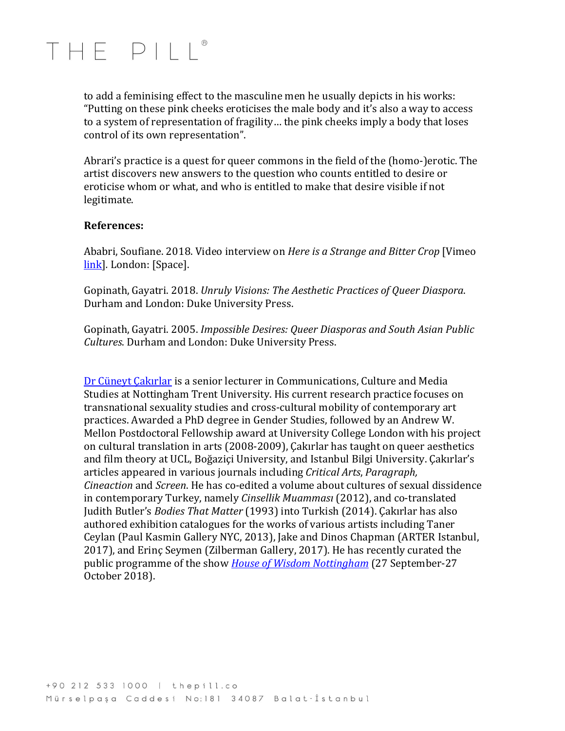## THF PIII®

to add a feminising effect to the masculine men he usually depicts in his works: "Putting on these pink cheeks eroticises the male body and it's also a way to access to a system of representation of fragility... the pink cheeks imply a body that loses control of its own representation".

Abrari's practice is a quest for queer commons in the field of the (homo-)erotic. The artist discovers new answers to the question who counts entitled to desire or eroticise whom or what, and who is entitled to make that desire visible if not legitimate. 

#### **References:**

Ababri, Soufiane. 2018. Video interview on *Here is a Strange and Bitter Crop* [Vimeo link<sup>]</sup>. London: [Space].

Gopinath, Gayatri. 2018. *Unruly Visions: The Aesthetic Practices of Queer Diaspora.* Durham and London: Duke University Press.

Gopinath, Gayatri. 2005. *Impossible Desires: Queer Diasporas and South Asian Public Cultures*. Durham and London: Duke University Press. 

Dr Cüneyt Çakırlar is a senior lecturer in Communications, Culture and Media Studies at Nottingham Trent University. His current research practice focuses on transnational sexuality studies and cross-cultural mobility of contemporary art practices. Awarded a PhD degree in Gender Studies, followed by an Andrew W. Mellon Postdoctoral Fellowship award at University College London with his project on cultural translation in arts (2008-2009), Çakırlar has taught on queer aesthetics and film theory at UCL, Boğaziçi University, and Istanbul Bilgi University. Çakırlar's articles appeared in various journals including *Critical Arts*, *Paragraph*, *Cineaction* and *Screen*. He has co-edited a volume about cultures of sexual dissidence in contemporary Turkey, namely *Cinsellik Muamması* (2012), and co-translated Judith Butler's *Bodies That Matter* (1993) into Turkish (2014). Çakırlar has also authored exhibition catalogues for the works of various artists including Taner Ceylan (Paul Kasmin Gallery NYC, 2013), Jake and Dinos Chapman (ARTER Istanbul, 2017), and Erinç Seymen (Zilberman Gallery, 2017). He has recently curated the public programme of the show *House of Wisdom Nottingham* (27 September-27 October 2018).